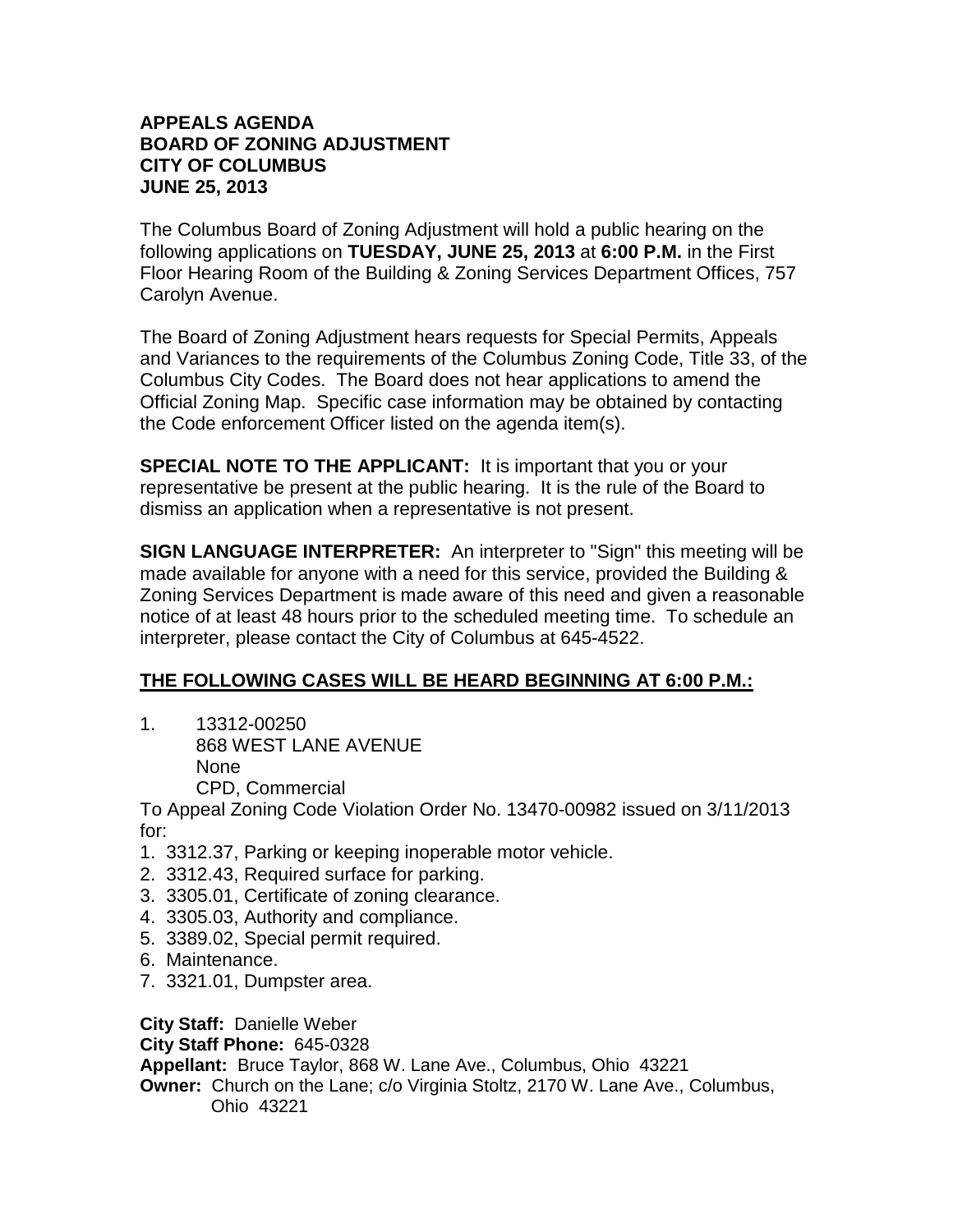The Columbus Board of Zoning Adjustment will hold a public hearing on the following applications on **TUESDAY, JUNE 25, 2013** at **6:00 P.M.** in the First Floor Hearing Room of the Building & Zoning Services Department Offices, 757 Carolyn Avenue.

The Board of Zoning Adjustment hears requests for Special Permits, Appeals and Variances to the requirements of the Columbus Zoning Code, Title 33, of the Columbus City Codes. The Board does not hear applications to amend the Official Zoning Map. Specific case information may be obtained by contacting the Code enforcement Officer listed on the agenda item(s).

**SPECIAL NOTE TO THE APPLICANT:** It is important that you or your representative be present at the public hearing. It is the rule of the Board to dismiss an application when a representative is not present.

**SIGN LANGUAGE INTERPRETER:** An interpreter to "Sign" this meeting will be made available for anyone with a need for this service, provided the Building & Zoning Services Department is made aware of this need and given a reasonable notice of at least 48 hours prior to the scheduled meeting time. To schedule an interpreter, please contact the City of Columbus at 645-4522.

# **THE FOLLOWING CASES WILL BE HEARD BEGINNING AT 6:00 P.M.:**

1. 13312-00250 868 WEST LANE AVENUE None CPD, Commercial

To Appeal Zoning Code Violation Order No. 13470-00982 issued on 3/11/2013 for:

- 1. 3312.37, Parking or keeping inoperable motor vehicle.
- 2. 3312.43, Required surface for parking.
- 3. 3305.01, Certificate of zoning clearance.
- 4. 3305.03, Authority and compliance.
- 5. 3389.02, Special permit required.
- 6. Maintenance.
- 7. 3321.01, Dumpster area.

**City Staff:** Danielle Weber **City Staff Phone:** 645-0328 **Appellant:** Bruce Taylor, 868 W. Lane Ave., Columbus, Ohio 43221 **Owner:** Church on the Lane; c/o Virginia Stoltz, 2170 W. Lane Ave., Columbus, Ohio 43221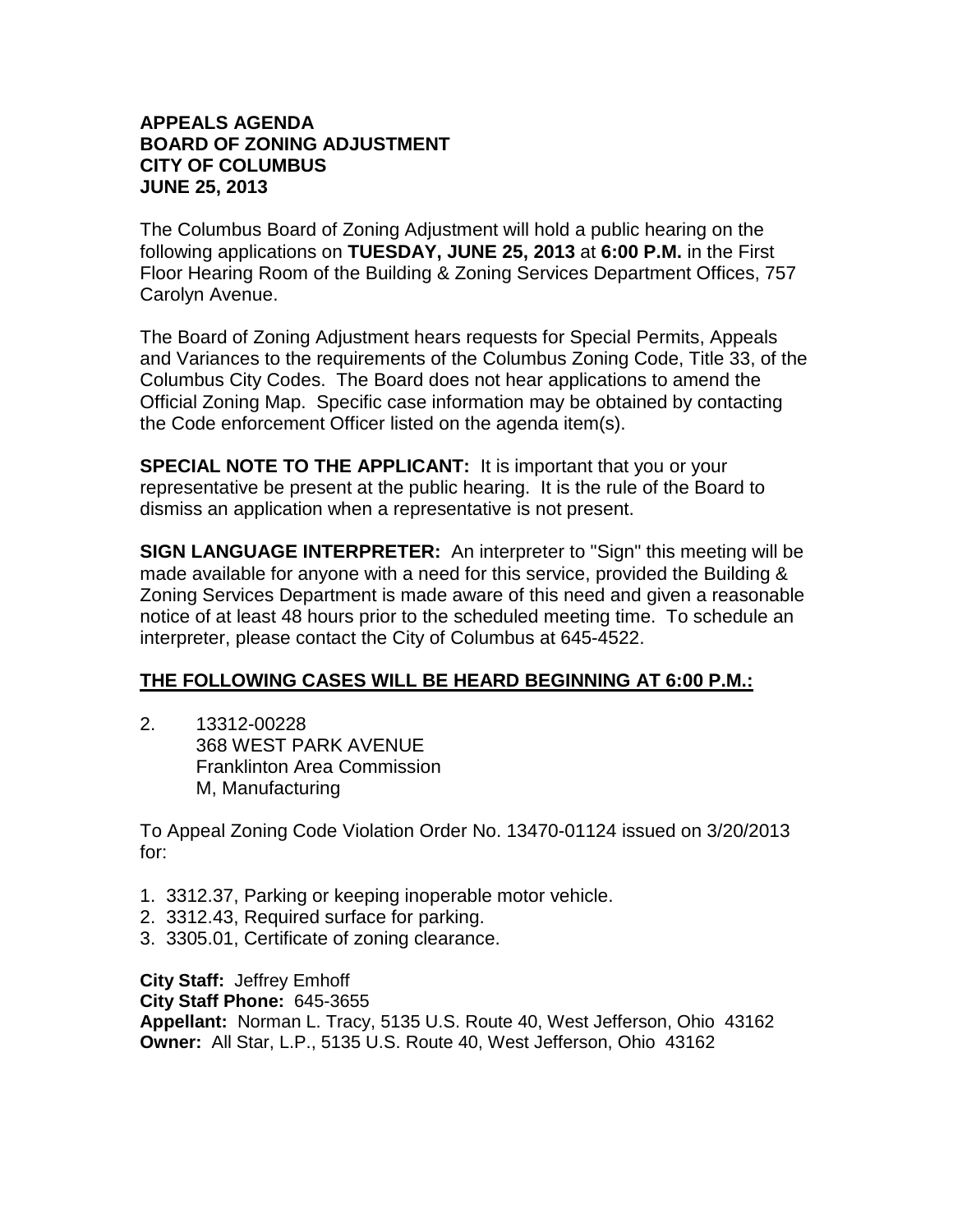The Columbus Board of Zoning Adjustment will hold a public hearing on the following applications on **TUESDAY, JUNE 25, 2013** at **6:00 P.M.** in the First Floor Hearing Room of the Building & Zoning Services Department Offices, 757 Carolyn Avenue.

The Board of Zoning Adjustment hears requests for Special Permits, Appeals and Variances to the requirements of the Columbus Zoning Code, Title 33, of the Columbus City Codes. The Board does not hear applications to amend the Official Zoning Map. Specific case information may be obtained by contacting the Code enforcement Officer listed on the agenda item(s).

**SPECIAL NOTE TO THE APPLICANT:** It is important that you or your representative be present at the public hearing. It is the rule of the Board to dismiss an application when a representative is not present.

**SIGN LANGUAGE INTERPRETER:** An interpreter to "Sign" this meeting will be made available for anyone with a need for this service, provided the Building & Zoning Services Department is made aware of this need and given a reasonable notice of at least 48 hours prior to the scheduled meeting time. To schedule an interpreter, please contact the City of Columbus at 645-4522.

## **THE FOLLOWING CASES WILL BE HEARD BEGINNING AT 6:00 P.M.:**

2. 13312-00228 368 WEST PARK AVENUE Franklinton Area Commission M, Manufacturing

To Appeal Zoning Code Violation Order No. 13470-01124 issued on 3/20/2013 for:

- 1. 3312.37, Parking or keeping inoperable motor vehicle.
- 2. 3312.43, Required surface for parking.
- 3. 3305.01, Certificate of zoning clearance.

**City Staff:** Jeffrey Emhoff **City Staff Phone:** 645-3655 **Appellant:** Norman L. Tracy, 5135 U.S. Route 40, West Jefferson, Ohio 43162 **Owner:** All Star, L.P., 5135 U.S. Route 40, West Jefferson, Ohio 43162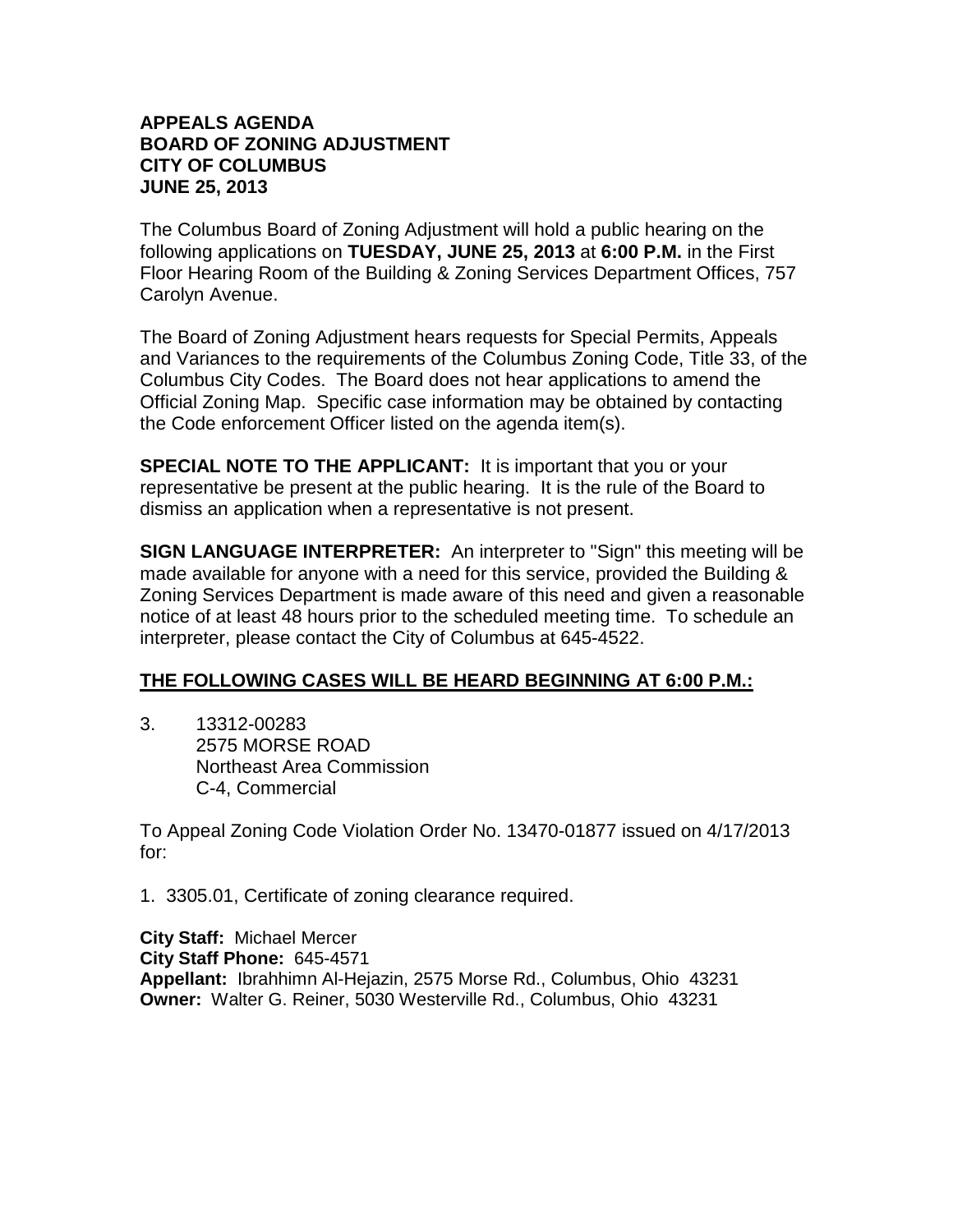The Columbus Board of Zoning Adjustment will hold a public hearing on the following applications on **TUESDAY, JUNE 25, 2013** at **6:00 P.M.** in the First Floor Hearing Room of the Building & Zoning Services Department Offices, 757 Carolyn Avenue.

The Board of Zoning Adjustment hears requests for Special Permits, Appeals and Variances to the requirements of the Columbus Zoning Code, Title 33, of the Columbus City Codes. The Board does not hear applications to amend the Official Zoning Map. Specific case information may be obtained by contacting the Code enforcement Officer listed on the agenda item(s).

**SPECIAL NOTE TO THE APPLICANT:** It is important that you or your representative be present at the public hearing. It is the rule of the Board to dismiss an application when a representative is not present.

**SIGN LANGUAGE INTERPRETER:** An interpreter to "Sign" this meeting will be made available for anyone with a need for this service, provided the Building & Zoning Services Department is made aware of this need and given a reasonable notice of at least 48 hours prior to the scheduled meeting time. To schedule an interpreter, please contact the City of Columbus at 645-4522.

## **THE FOLLOWING CASES WILL BE HEARD BEGINNING AT 6:00 P.M.:**

3. 13312-00283 2575 MORSE ROAD Northeast Area Commission C-4, Commercial

To Appeal Zoning Code Violation Order No. 13470-01877 issued on 4/17/2013 for:

1. 3305.01, Certificate of zoning clearance required.

**City Staff:** Michael Mercer **City Staff Phone:** 645-4571 **Appellant:** Ibrahhimn Al-Hejazin, 2575 Morse Rd., Columbus, Ohio 43231 **Owner:** Walter G. Reiner, 5030 Westerville Rd., Columbus, Ohio 43231